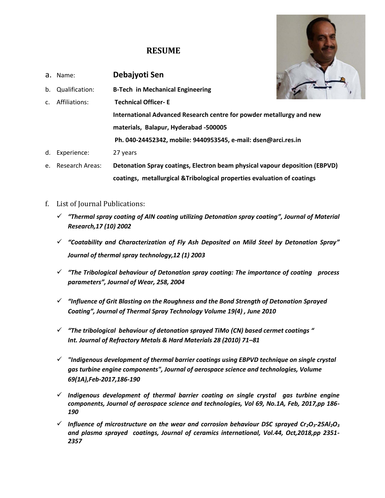## **RESUME**



- f. List of Journal Publications:
	- ✓ *"Thermal spray coating of AlN coating utilizing Detonation spray coating", Journal of Material Research,17 (10) 2002*
	- ✓ *"Coatability and Characterization of Fly Ash Deposited on Mild Steel by Detonation Spray" Journal of thermal spray technology,12 (1) 2003*
	- ✓ *"The Tribological behaviour of Detonation spray coating: The importance of coating process parameters", Journal of Wear, 258, 2004*
	- ✓ *"Influence of Grit Blasting on the Roughness and the Bond Strength of Detonation Sprayed Coating", Journal of Thermal Spray Technology Volume 19(4) , June 2010*
	- ✓ *"The tribological behaviour of detonation sprayed TiMo (CN) based cermet coatings " Int. Journal of Refractory Metals & Hard Materials 28 (2010) 71–81*
	- ✓ *"Indigenous development of thermal barrier coatings using EBPVD technique on single crystal gas turbine engine components", Journal of aerospace science and technologies, Volume 69(1A),Feb-2017,186-190*
	- ✓ *Indigenous development of thermal barrier coating on single crystal gas turbine engine components, Journal of aerospace science and technologies, Vol 69, No.1A, Feb, 2017,pp 186- 190*
	- $\checkmark$  Influence of microstructure on the wear and corrosion behaviour DSC sprayed Cr<sub>2</sub>O<sub>3</sub>-25Al<sub>2</sub>O<sub>3</sub> *and plasma sprayed coatings, Journal of ceramics international, Vol.44, Oct,2018,pp 2351- 2357*

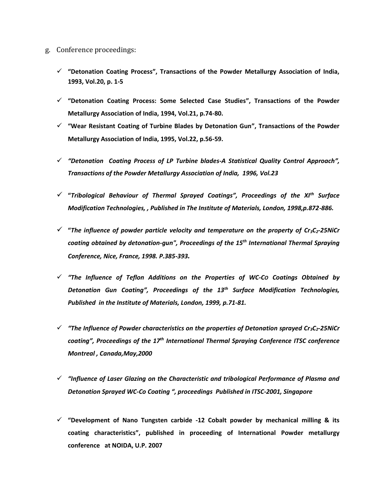- g. Conference proceedings:
	- ✓ **"Detonation Coating Process", Transactions of the Powder Metallurgy Association of India, 1993, Vol.20, p. 1-5**
	- ✓ **"Detonation Coating Process: Some Selected Case Studies", Transactions of the Powder Metallurgy Association of India, 1994, Vol.21, p.74-80.**
	- ✓ **"Wear Resistant Coating of Turbine Blades by Detonation Gun", Transactions of the Powder Metallurgy Association of India, 1995, Vol.22, p.56-59.**
	- ✓ *"Detonation Coating Process of LP Turbine blades-A Statistical Quality Control Approach", Transactions of the Powder Metallurgy Association of India, 1996, Vol.23*
	- ✓ **"***Tribological Behaviour of Thermal Sprayed Coatings", Proceedings of the XIth Surface Modification Technologies, , Published in The Institute of Materials, London, 1998,p.872-886.*
	- ✓ **"***The influence of powder particle velocity and temperature on the property of Cr3C2-25NiCr coating obtained by detonation-gun", Proceedings of the 15th International Thermal Spraying Conference, Nice, France, 1998. P.385-393.*
	- ✓ *"The Influence of Teflon Additions on the Properties of WC-CO Coatings Obtained by Detonation Gun Coating", Proceedings of the 13th Surface Modification Technologies, Published in the Institute of Materials, London, 1999, p.71-81.*
	- ✓ *"The Influence of Powder characteristics on the properties of Detonation sprayed Cr3C2-25NiCr coating", Proceedings of the 17 th International Thermal Spraying Conference ITSC conference Montreal , Canada,May,2000*
	- ✓ *"Influence of Laser Glazing on the Characteristic and tribological Performance of Plasma and Detonation Sprayed WC-Co Coating ", proceedings Published in ITSC-2001, Singapore*
	- ✓ **"Development of Nano Tungsten carbide -12 Cobalt powder by mechanical milling & its coating characteristics", published in proceeding of International Powder metallurgy conference at NOIDA, U.P. 2007**